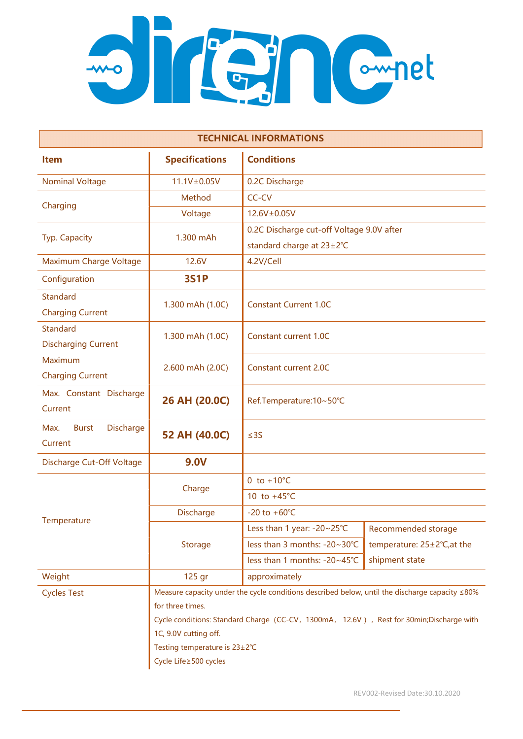

| <b>TECHNICAL INFORMATIONS</b>                       |                                                                                                                                                                                                                                                                                 |                                           |                             |  |
|-----------------------------------------------------|---------------------------------------------------------------------------------------------------------------------------------------------------------------------------------------------------------------------------------------------------------------------------------|-------------------------------------------|-----------------------------|--|
| <b>Item</b>                                         | <b>Specifications</b>                                                                                                                                                                                                                                                           | <b>Conditions</b>                         |                             |  |
| <b>Nominal Voltage</b>                              | 11.1V±0.05V                                                                                                                                                                                                                                                                     | 0.2C Discharge                            |                             |  |
| Charging                                            | Method                                                                                                                                                                                                                                                                          | CC-CV                                     |                             |  |
|                                                     | Voltage                                                                                                                                                                                                                                                                         | 12.6V±0.05V                               |                             |  |
| Typ. Capacity                                       | 1.300 mAh                                                                                                                                                                                                                                                                       | 0.2C Discharge cut-off Voltage 9.0V after |                             |  |
|                                                     |                                                                                                                                                                                                                                                                                 | standard charge at 23±2°C                 |                             |  |
| Maximum Charge Voltage                              | 12.6V                                                                                                                                                                                                                                                                           | 4.2V/Cell                                 |                             |  |
| Configuration                                       | <b>3S1P</b>                                                                                                                                                                                                                                                                     |                                           |                             |  |
| <b>Standard</b><br><b>Charging Current</b>          | 1.300 mAh (1.0C)                                                                                                                                                                                                                                                                | <b>Constant Current 1.0C</b>              |                             |  |
| <b>Standard</b><br><b>Discharging Current</b>       | 1.300 mAh (1.0C)                                                                                                                                                                                                                                                                | <b>Constant current 1.0C</b>              |                             |  |
| Maximum<br><b>Charging Current</b>                  | 2.600 mAh (2.0C)                                                                                                                                                                                                                                                                | <b>Constant current 2.0C</b>              |                             |  |
| Max. Constant Discharge<br>Current                  | 26 AH (20.0C)                                                                                                                                                                                                                                                                   | Ref.Temperature:10~50°C                   |                             |  |
| <b>Discharge</b><br>Max.<br><b>Burst</b><br>Current | 52 AH (40.0C)                                                                                                                                                                                                                                                                   | $\leq$ 3S                                 |                             |  |
| Discharge Cut-Off Voltage                           | <b>9.0V</b>                                                                                                                                                                                                                                                                     |                                           |                             |  |
| Temperature                                         | Charge                                                                                                                                                                                                                                                                          | 0 to $+10^{\circ}$ C                      |                             |  |
|                                                     |                                                                                                                                                                                                                                                                                 | 10 to $+45^{\circ}$ C                     |                             |  |
|                                                     | Discharge                                                                                                                                                                                                                                                                       | $-20$ to $+60^{\circ}$ C                  |                             |  |
|                                                     | <b>Storage</b>                                                                                                                                                                                                                                                                  | Less than 1 year: -20~25°C                | Recommended storage         |  |
|                                                     |                                                                                                                                                                                                                                                                                 | less than 3 months: -20~30°C              | temperature: 25±2°C, at the |  |
|                                                     |                                                                                                                                                                                                                                                                                 | less than 1 months: -20~45°C              | shipment state              |  |
| Weight                                              | 125 gr                                                                                                                                                                                                                                                                          | approximately                             |                             |  |
| <b>Cycles Test</b>                                  | Measure capacity under the cycle conditions described below, until the discharge capacity $\leq 80\%$<br>for three times.<br>Cycle conditions: Standard Charge (CC-CV, 1300mA, 12.6V), Rest for 30min; Discharge with<br>1C, 9.0V cutting off.<br>Testing temperature is 23±2°C |                                           |                             |  |
|                                                     | Cycle Life≥500 cycles                                                                                                                                                                                                                                                           |                                           |                             |  |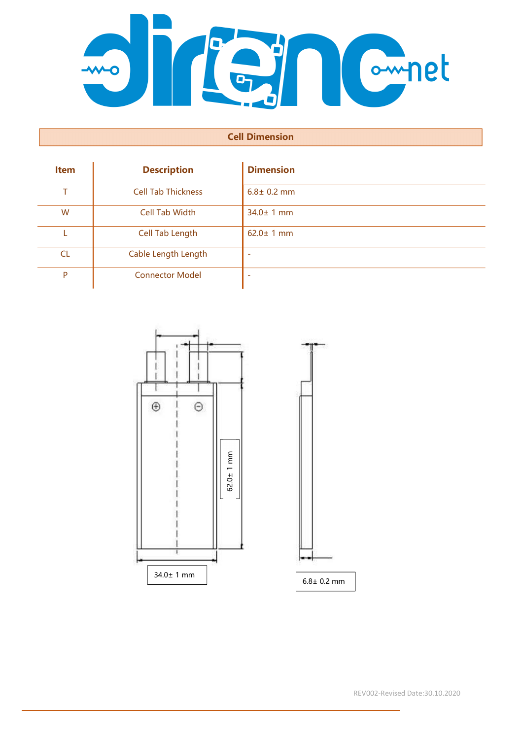

## Cell Dimension

| <b>Item</b> | <b>Description</b>        | <b>Dimension</b> |
|-------------|---------------------------|------------------|
| т           | <b>Cell Tab Thickness</b> | $6.8 \pm 0.2$ mm |
| W           | <b>Cell Tab Width</b>     | $34.0 \pm 1$ mm  |
|             | Cell Tab Length           | $62.0 \pm 1$ mm  |
| <b>CL</b>   | Cable Length Length       |                  |
| P           | <b>Connector Model</b>    |                  |